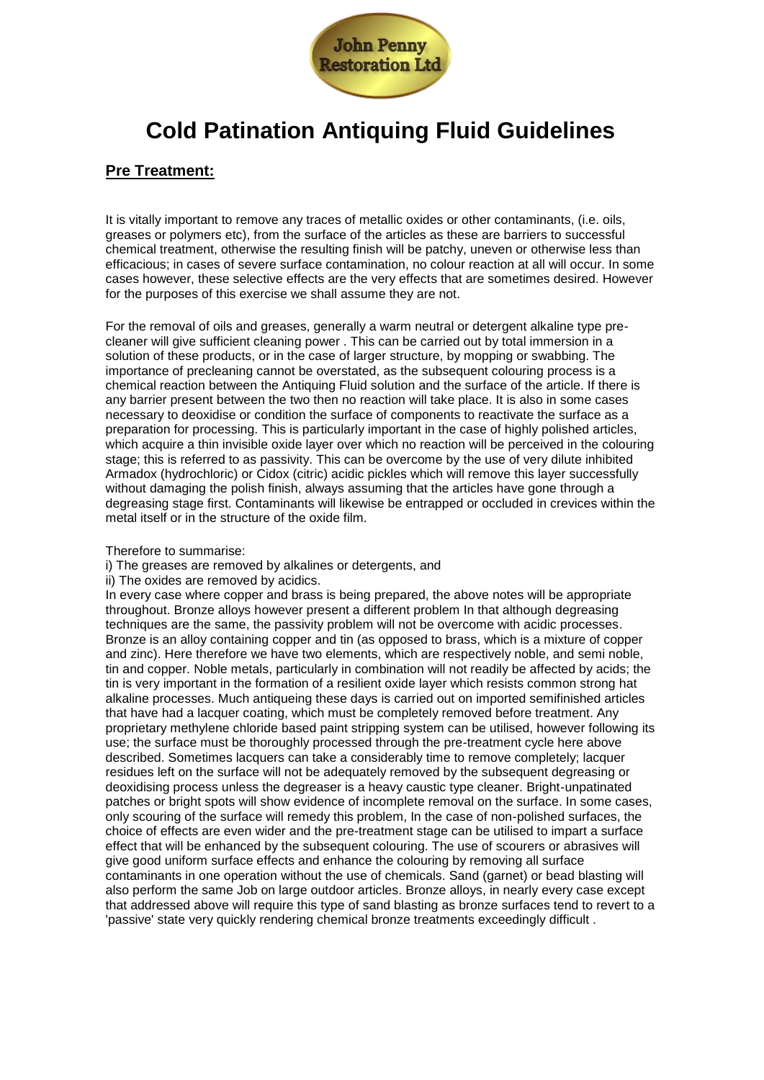

# **Cold Patination Antiquing Fluid Guidelines**

## **Pre Treatment:**

It is vitally important to remove any traces of metallic oxides or other contaminants, (i.e. oils, greases or polymers etc), from the surface of the articles as these are barriers to successful chemical treatment, otherwise the resulting finish will be patchy, uneven or otherwise less than efficacious; in cases of severe surface contamination, no colour reaction at all will occur. In some cases however, these selective effects are the very effects that are sometimes desired. However for the purposes of this exercise we shall assume they are not.

For the removal of oils and greases, generally a warm neutral or detergent alkaline type precleaner will give sufficient cleaning power . This can be carried out by total immersion in a solution of these products, or in the case of larger structure, by mopping or swabbing. The importance of precleaning cannot be overstated, as the subsequent colouring process is a chemical reaction between the Antiquing Fluid solution and the surface of the article. If there is any barrier present between the two then no reaction will take place. It is also in some cases necessary to deoxidise or condition the surface of components to reactivate the surface as a preparation for processing. This is particularly important in the case of highly polished articles, which acquire a thin invisible oxide layer over which no reaction will be perceived in the colouring stage; this is referred to as passivity. This can be overcome by the use of very dilute inhibited Armadox (hydrochloric) or Cidox (citric) acidic pickles which will remove this layer successfully without damaging the polish finish, always assuming that the articles have gone through a degreasing stage first. Contaminants will likewise be entrapped or occluded in crevices within the metal itself or in the structure of the oxide film.

Therefore to summarise:

- i) The greases are removed by alkalines or detergents, and
- ii) The oxides are removed by acidics.

In every case where copper and brass is being prepared, the above notes will be appropriate throughout. Bronze alloys however present a different problem In that although degreasing techniques are the same, the passivity problem will not be overcome with acidic processes. Bronze is an alloy containing copper and tin (as opposed to brass, which is a mixture of copper and zinc). Here therefore we have two elements, which are respectively noble, and semi noble, tin and copper. Noble metals, particularly in combination will not readily be affected by acids; the tin is very important in the formation of a resilient oxide layer which resists common strong hat alkaline processes. Much antiqueing these days is carried out on imported semifinished articles that have had a lacquer coating, which must be completely removed before treatment. Any proprietary methylene chloride based paint stripping system can be utilised, however following its use; the surface must be thoroughly processed through the pre-treatment cycle here above described. Sometimes lacquers can take a considerably time to remove completely; lacquer residues left on the surface will not be adequately removed by the subsequent degreasing or deoxidising process unless the degreaser is a heavy caustic type cleaner. Bright-unpatinated patches or bright spots will show evidence of incomplete removal on the surface. In some cases, only scouring of the surface will remedy this problem, In the case of non-polished surfaces, the choice of effects are even wider and the pre-treatment stage can be utilised to impart a surface effect that will be enhanced by the subsequent colouring. The use of scourers or abrasives will give good uniform surface effects and enhance the colouring by removing all surface contaminants in one operation without the use of chemicals. Sand (garnet) or bead blasting will also perform the same Job on large outdoor articles. Bronze alloys, in nearly every case except that addressed above will require this type of sand blasting as bronze surfaces tend to revert to a 'passive' state very quickly rendering chemical bronze treatments exceedingly difficult .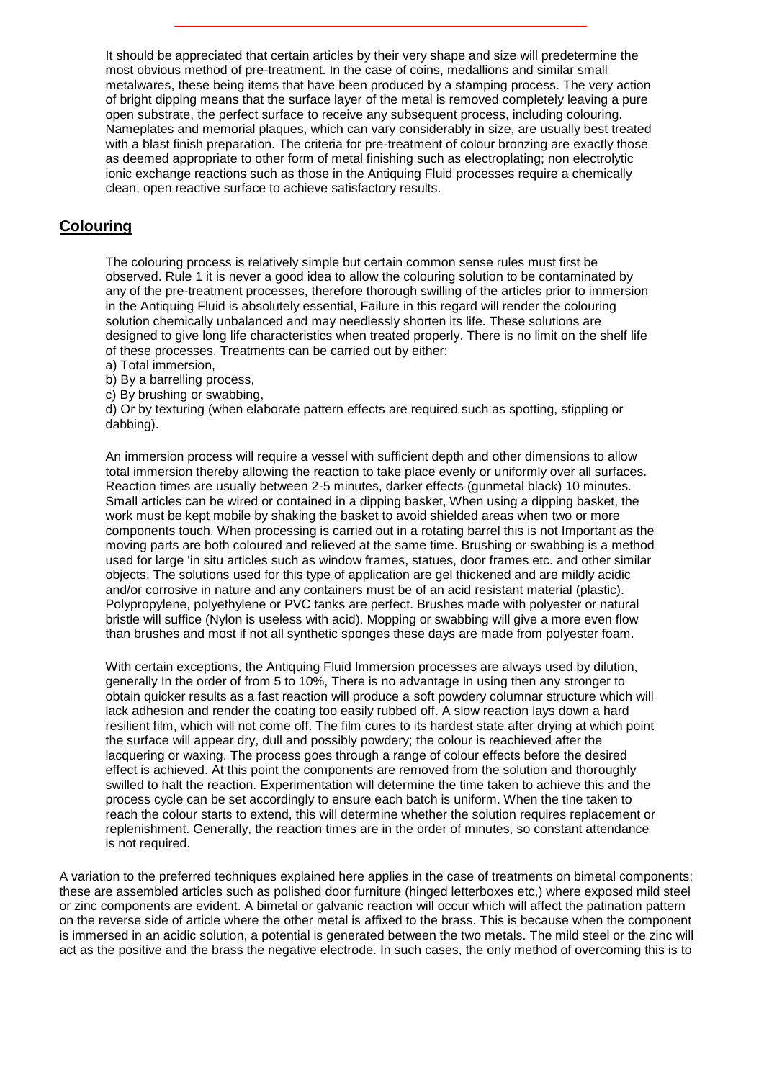It should be appreciated that certain articles by their very shape and size will predetermine the most obvious method of pre-treatment. In the case of coins, medallions and similar small metalwares, these being items that have been produced by a stamping process. The very action of bright dipping means that the surface layer of the metal is removed completely leaving a pure open substrate, the perfect surface to receive any subsequent process, including colouring. Nameplates and memorial plaques, which can vary considerably in size, are usually best treated with a blast finish preparation. The criteria for pre-treatment of colour bronzing are exactly those as deemed appropriate to other form of metal finishing such as electroplating; non electrolytic ionic exchange reactions such as those in the Antiquing Fluid processes require a chemically clean, open reactive surface to achieve satisfactory results.

### **Colouring**

The colouring process is relatively simple but certain common sense rules must first be observed. Rule 1 it is never a good idea to allow the colouring solution to be contaminated by any of the pre-treatment processes, therefore thorough swilling of the articles prior to immersion in the Antiquing Fluid is absolutely essential, Failure in this regard will render the colouring solution chemically unbalanced and may needlessly shorten its life. These solutions are designed to give long life characteristics when treated properly. There is no limit on the shelf life of these processes. Treatments can be carried out by either:

- a) Total immersion,
- b) By a barrelling process,
- c) By brushing or swabbing,

d) Or by texturing (when elaborate pattern effects are required such as spotting, stippling or dabbing).

An immersion process will require a vessel with sufficient depth and other dimensions to allow total immersion thereby allowing the reaction to take place evenly or uniformly over all surfaces. Reaction times are usually between 2-5 minutes, darker effects (gunmetal black) 10 minutes. Small articles can be wired or contained in a dipping basket, When using a dipping basket, the work must be kept mobile by shaking the basket to avoid shielded areas when two or more components touch. When processing is carried out in a rotating barrel this is not Important as the moving parts are both coloured and relieved at the same time. Brushing or swabbing is a method used for large 'in situ articles such as window frames, statues, door frames etc. and other similar objects. The solutions used for this type of application are gel thickened and are mildly acidic and/or corrosive in nature and any containers must be of an acid resistant material (plastic). Polypropylene, polyethylene or PVC tanks are perfect. Brushes made with polyester or natural bristle will suffice (Nylon is useless with acid). Mopping or swabbing will give a more even flow than brushes and most if not all synthetic sponges these days are made from polyester foam.

With certain exceptions, the Antiquing Fluid Immersion processes are always used by dilution, generally In the order of from 5 to 10%, There is no advantage In using then any stronger to obtain quicker results as a fast reaction will produce a soft powdery columnar structure which will lack adhesion and render the coating too easily rubbed off. A slow reaction lays down a hard resilient film, which will not come off. The film cures to its hardest state after drying at which point the surface will appear dry, dull and possibly powdery; the colour is reachieved after the lacquering or waxing. The process goes through a range of colour effects before the desired effect is achieved. At this point the components are removed from the solution and thoroughly swilled to halt the reaction. Experimentation will determine the time taken to achieve this and the process cycle can be set accordingly to ensure each batch is uniform. When the tine taken to reach the colour starts to extend, this will determine whether the solution requires replacement or replenishment. Generally, the reaction times are in the order of minutes, so constant attendance is not required.

A variation to the preferred techniques explained here applies in the case of treatments on bimetal components; these are assembled articles such as polished door furniture (hinged letterboxes etc,) where exposed mild steel or zinc components are evident. A bimetal or galvanic reaction will occur which will affect the patination pattern on the reverse side of article where the other metal is affixed to the brass. This is because when the component is immersed in an acidic solution, a potential is generated between the two metals. The mild steel or the zinc will act as the positive and the brass the negative electrode. In such cases, the only method of overcoming this is to